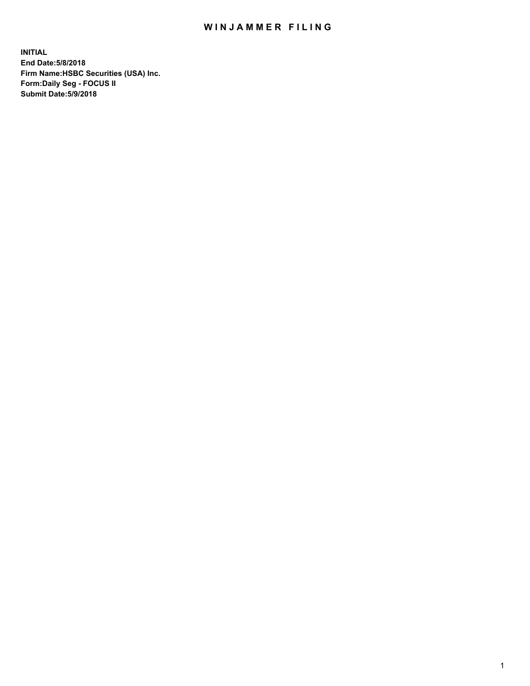## WIN JAMMER FILING

**INITIAL End Date:5/8/2018 Firm Name:HSBC Securities (USA) Inc. Form:Daily Seg - FOCUS II Submit Date:5/9/2018**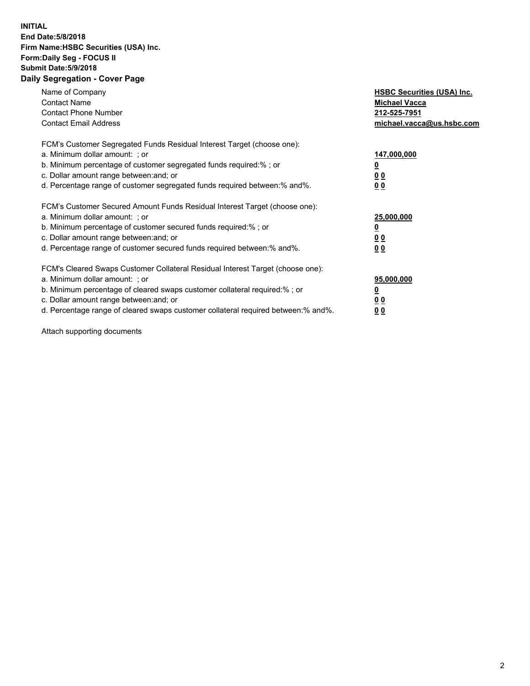## **INITIAL End Date:5/8/2018 Firm Name:HSBC Securities (USA) Inc. Form:Daily Seg - FOCUS II Submit Date:5/9/2018 Daily Segregation - Cover Page**

| Name of Company<br><b>Contact Name</b><br><b>Contact Phone Number</b><br><b>Contact Email Address</b>                                                                                                                                                                                                                          | <b>HSBC Securities (USA) Inc.</b><br><b>Michael Vacca</b><br>212-525-7951<br>michael.vacca@us.hsbc.com |
|--------------------------------------------------------------------------------------------------------------------------------------------------------------------------------------------------------------------------------------------------------------------------------------------------------------------------------|--------------------------------------------------------------------------------------------------------|
| FCM's Customer Segregated Funds Residual Interest Target (choose one):<br>a. Minimum dollar amount: ; or<br>b. Minimum percentage of customer segregated funds required:%; or<br>c. Dollar amount range between: and; or<br>d. Percentage range of customer segregated funds required between:% and%.                          | 147,000,000<br><u>0</u><br><u>00</u><br>00                                                             |
| FCM's Customer Secured Amount Funds Residual Interest Target (choose one):<br>a. Minimum dollar amount: ; or<br>b. Minimum percentage of customer secured funds required:%; or<br>c. Dollar amount range between: and; or<br>d. Percentage range of customer secured funds required between:% and%.                            | 25,000,000<br><u>0</u><br><u>00</u><br>00                                                              |
| FCM's Cleared Swaps Customer Collateral Residual Interest Target (choose one):<br>a. Minimum dollar amount: ; or<br>b. Minimum percentage of cleared swaps customer collateral required:% ; or<br>c. Dollar amount range between: and; or<br>d. Percentage range of cleared swaps customer collateral required between:% and%. | 95,000,000<br><u>0</u><br><u>00</u><br>0 <sub>0</sub>                                                  |

Attach supporting documents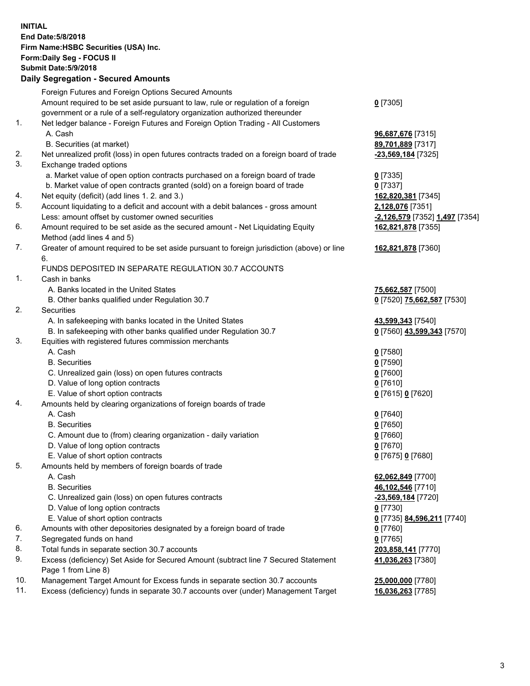**INITIAL End Date:5/8/2018 Firm Name:HSBC Securities (USA) Inc. Form:Daily Seg - FOCUS II Submit Date:5/9/2018 Daily Segregation - Secured Amounts** Foreign Futures and Foreign Options Secured Amounts Amount required to be set aside pursuant to law, rule or regulation of a foreign government or a rule of a self-regulatory organization authorized thereunder **0** [7305] 1. Net ledger balance - Foreign Futures and Foreign Option Trading - All Customers A. Cash **96,687,676** [7315] B. Securities (at market) **89,701,889** [7317] 2. Net unrealized profit (loss) in open futures contracts traded on a foreign board of trade **-23,569,184** [7325] 3. Exchange traded options a. Market value of open option contracts purchased on a foreign board of trade **0** [7335] b. Market value of open contracts granted (sold) on a foreign board of trade **0** [7337] 4. Net equity (deficit) (add lines 1. 2. and 3.) **162,820,381** [7345] 5. Account liquidating to a deficit and account with a debit balances - gross amount **2,128,076** [7351] Less: amount offset by customer owned securities **-2,126,579** [7352] **1,497** [7354] 6. Amount required to be set aside as the secured amount - Net Liquidating Equity Method (add lines 4 and 5) **162,821,878** [7355] 7. Greater of amount required to be set aside pursuant to foreign jurisdiction (above) or line 6. **162,821,878** [7360] FUNDS DEPOSITED IN SEPARATE REGULATION 30.7 ACCOUNTS 1. Cash in banks A. Banks located in the United States **75,662,587** [7500] B. Other banks qualified under Regulation 30.7 **0** [7520] **75,662,587** [7530] 2. Securities A. In safekeeping with banks located in the United States **43,599,343** [7540] B. In safekeeping with other banks qualified under Regulation 30.7 **0** [7560] **43,599,343** [7570] 3. Equities with registered futures commission merchants A. Cash **0** [7580] B. Securities **0** [7590] C. Unrealized gain (loss) on open futures contracts **0** [7600] D. Value of long option contracts **0** [7610] E. Value of short option contracts **0** [7615] **0** [7620] 4. Amounts held by clearing organizations of foreign boards of trade A. Cash **0** [7640] B. Securities **0** [7650] C. Amount due to (from) clearing organization - daily variation **0** [7660] D. Value of long option contracts **0** [7670] E. Value of short option contracts **0** [7675] **0** [7680] 5. Amounts held by members of foreign boards of trade A. Cash **62,062,849** [7700] B. Securities **46,102,546** [7710] C. Unrealized gain (loss) on open futures contracts **-23,569,184** [7720] D. Value of long option contracts **0** [7730] E. Value of short option contracts **0** [7735] **84,596,211** [7740] 6. Amounts with other depositories designated by a foreign board of trade **0** [7760] 7. Segregated funds on hand **0** [7765] 8. Total funds in separate section 30.7 accounts **203,858,141** [7770] 9. Excess (deficiency) Set Aside for Secured Amount (subtract line 7 Secured Statement Page 1 from Line 8) **41,036,263** [7380] 10. Management Target Amount for Excess funds in separate section 30.7 accounts **25,000,000** [7780] 11. Excess (deficiency) funds in separate 30.7 accounts over (under) Management Target **16,036,263** [7785]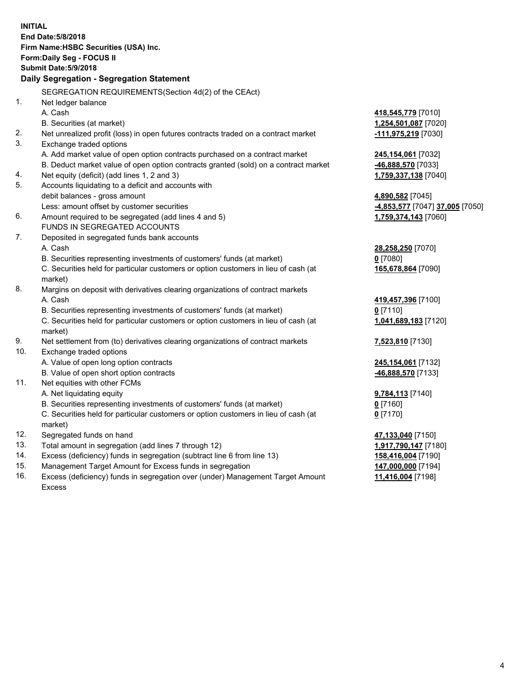| End Date: 5/8/2018<br>Firm Name: HSBC Securities (USA) Inc.<br>Form: Daily Seg - FOCUS II<br><b>Submit Date: 5/9/2018</b><br>Daily Segregation - Segregation Statement<br>SEGREGATION REQUIREMENTS(Section 4d(2) of the CEAct)<br>1.<br>Net ledger balance<br>A. Cash<br>418,545,779 [7010]<br>B. Securities (at market)<br>1,254,501,087 [7020]<br>2.<br>Net unrealized profit (loss) in open futures contracts traded on a contract market<br>-111,975,219 [7030]<br>3.<br>Exchange traded options<br>A. Add market value of open option contracts purchased on a contract market<br>245,154,061 [7032]<br>B. Deduct market value of open option contracts granted (sold) on a contract market<br>-46,888,570 [7033]<br>Net equity (deficit) (add lines 1, 2 and 3)<br>1,759,337,138 [7040]<br>4.<br>5.<br>Accounts liquidating to a deficit and accounts with<br>debit balances - gross amount<br>4,890,582 [7045]<br>Less: amount offset by customer securities<br>4,853,577 [7047] 37,005 [7050]<br>6.<br>Amount required to be segregated (add lines 4 and 5)<br>1,759,374,143 [7060]<br>FUNDS IN SEGREGATED ACCOUNTS<br>7.<br>Deposited in segregated funds bank accounts<br>A. Cash<br>28,258,250 [7070]<br>$0$ [7080]<br>B. Securities representing investments of customers' funds (at market)<br>C. Securities held for particular customers or option customers in lieu of cash (at<br>165,678,864 [7090]<br>market)<br>8.<br>Margins on deposit with derivatives clearing organizations of contract markets<br>A. Cash<br>419,457,396 [7100]<br>B. Securities representing investments of customers' funds (at market)<br>$0$ [7110]<br>C. Securities held for particular customers or option customers in lieu of cash (at<br>1,041,689,183 [7120]<br>market)<br>9.<br>Net settlement from (to) derivatives clearing organizations of contract markets<br>7,523,810 [7130]<br>10.<br>Exchange traded options<br>A. Value of open long option contracts<br>245,154,061 [7132]<br>B. Value of open short option contracts<br>46,888,570 [7133]<br>11.<br>Net equities with other FCMs<br>A. Net liquidating equity<br>9,784,113 [7140]<br>B. Securities representing investments of customers' funds (at market)<br>0 [7160]<br>C. Securities held for particular customers or option customers in lieu of cash (at<br>$0$ [7170]<br>market)<br>12.<br>Segregated funds on hand<br>47,133,040 [7150]<br>13.<br>Total amount in segregation (add lines 7 through 12)<br>1,917,790,147 [7180]<br>14.<br>Excess (deficiency) funds in segregation (subtract line 6 from line 13)<br>158,416,004 [7190]<br>15.<br>Management Target Amount for Excess funds in segregation<br>147,000,000 [7194] | <b>INITIAL</b> |  |  |  |  |  |
|----------------------------------------------------------------------------------------------------------------------------------------------------------------------------------------------------------------------------------------------------------------------------------------------------------------------------------------------------------------------------------------------------------------------------------------------------------------------------------------------------------------------------------------------------------------------------------------------------------------------------------------------------------------------------------------------------------------------------------------------------------------------------------------------------------------------------------------------------------------------------------------------------------------------------------------------------------------------------------------------------------------------------------------------------------------------------------------------------------------------------------------------------------------------------------------------------------------------------------------------------------------------------------------------------------------------------------------------------------------------------------------------------------------------------------------------------------------------------------------------------------------------------------------------------------------------------------------------------------------------------------------------------------------------------------------------------------------------------------------------------------------------------------------------------------------------------------------------------------------------------------------------------------------------------------------------------------------------------------------------------------------------------------------------------------------------------------------------------------------------------------------------------------------------------------------------------------------------------------------------------------------------------------------------------------------------------------------------------------------------------------------------------------------------------------------------------------------------------------------------------------------------------------------------------------------------------------------------------------------------------------------------------------------------------------------------------------|----------------|--|--|--|--|--|
|                                                                                                                                                                                                                                                                                                                                                                                                                                                                                                                                                                                                                                                                                                                                                                                                                                                                                                                                                                                                                                                                                                                                                                                                                                                                                                                                                                                                                                                                                                                                                                                                                                                                                                                                                                                                                                                                                                                                                                                                                                                                                                                                                                                                                                                                                                                                                                                                                                                                                                                                                                                                                                                                                                          |                |  |  |  |  |  |
|                                                                                                                                                                                                                                                                                                                                                                                                                                                                                                                                                                                                                                                                                                                                                                                                                                                                                                                                                                                                                                                                                                                                                                                                                                                                                                                                                                                                                                                                                                                                                                                                                                                                                                                                                                                                                                                                                                                                                                                                                                                                                                                                                                                                                                                                                                                                                                                                                                                                                                                                                                                                                                                                                                          |                |  |  |  |  |  |
|                                                                                                                                                                                                                                                                                                                                                                                                                                                                                                                                                                                                                                                                                                                                                                                                                                                                                                                                                                                                                                                                                                                                                                                                                                                                                                                                                                                                                                                                                                                                                                                                                                                                                                                                                                                                                                                                                                                                                                                                                                                                                                                                                                                                                                                                                                                                                                                                                                                                                                                                                                                                                                                                                                          |                |  |  |  |  |  |
|                                                                                                                                                                                                                                                                                                                                                                                                                                                                                                                                                                                                                                                                                                                                                                                                                                                                                                                                                                                                                                                                                                                                                                                                                                                                                                                                                                                                                                                                                                                                                                                                                                                                                                                                                                                                                                                                                                                                                                                                                                                                                                                                                                                                                                                                                                                                                                                                                                                                                                                                                                                                                                                                                                          |                |  |  |  |  |  |
|                                                                                                                                                                                                                                                                                                                                                                                                                                                                                                                                                                                                                                                                                                                                                                                                                                                                                                                                                                                                                                                                                                                                                                                                                                                                                                                                                                                                                                                                                                                                                                                                                                                                                                                                                                                                                                                                                                                                                                                                                                                                                                                                                                                                                                                                                                                                                                                                                                                                                                                                                                                                                                                                                                          |                |  |  |  |  |  |
|                                                                                                                                                                                                                                                                                                                                                                                                                                                                                                                                                                                                                                                                                                                                                                                                                                                                                                                                                                                                                                                                                                                                                                                                                                                                                                                                                                                                                                                                                                                                                                                                                                                                                                                                                                                                                                                                                                                                                                                                                                                                                                                                                                                                                                                                                                                                                                                                                                                                                                                                                                                                                                                                                                          |                |  |  |  |  |  |
|                                                                                                                                                                                                                                                                                                                                                                                                                                                                                                                                                                                                                                                                                                                                                                                                                                                                                                                                                                                                                                                                                                                                                                                                                                                                                                                                                                                                                                                                                                                                                                                                                                                                                                                                                                                                                                                                                                                                                                                                                                                                                                                                                                                                                                                                                                                                                                                                                                                                                                                                                                                                                                                                                                          |                |  |  |  |  |  |
|                                                                                                                                                                                                                                                                                                                                                                                                                                                                                                                                                                                                                                                                                                                                                                                                                                                                                                                                                                                                                                                                                                                                                                                                                                                                                                                                                                                                                                                                                                                                                                                                                                                                                                                                                                                                                                                                                                                                                                                                                                                                                                                                                                                                                                                                                                                                                                                                                                                                                                                                                                                                                                                                                                          |                |  |  |  |  |  |
|                                                                                                                                                                                                                                                                                                                                                                                                                                                                                                                                                                                                                                                                                                                                                                                                                                                                                                                                                                                                                                                                                                                                                                                                                                                                                                                                                                                                                                                                                                                                                                                                                                                                                                                                                                                                                                                                                                                                                                                                                                                                                                                                                                                                                                                                                                                                                                                                                                                                                                                                                                                                                                                                                                          |                |  |  |  |  |  |
|                                                                                                                                                                                                                                                                                                                                                                                                                                                                                                                                                                                                                                                                                                                                                                                                                                                                                                                                                                                                                                                                                                                                                                                                                                                                                                                                                                                                                                                                                                                                                                                                                                                                                                                                                                                                                                                                                                                                                                                                                                                                                                                                                                                                                                                                                                                                                                                                                                                                                                                                                                                                                                                                                                          |                |  |  |  |  |  |
|                                                                                                                                                                                                                                                                                                                                                                                                                                                                                                                                                                                                                                                                                                                                                                                                                                                                                                                                                                                                                                                                                                                                                                                                                                                                                                                                                                                                                                                                                                                                                                                                                                                                                                                                                                                                                                                                                                                                                                                                                                                                                                                                                                                                                                                                                                                                                                                                                                                                                                                                                                                                                                                                                                          |                |  |  |  |  |  |
|                                                                                                                                                                                                                                                                                                                                                                                                                                                                                                                                                                                                                                                                                                                                                                                                                                                                                                                                                                                                                                                                                                                                                                                                                                                                                                                                                                                                                                                                                                                                                                                                                                                                                                                                                                                                                                                                                                                                                                                                                                                                                                                                                                                                                                                                                                                                                                                                                                                                                                                                                                                                                                                                                                          |                |  |  |  |  |  |
|                                                                                                                                                                                                                                                                                                                                                                                                                                                                                                                                                                                                                                                                                                                                                                                                                                                                                                                                                                                                                                                                                                                                                                                                                                                                                                                                                                                                                                                                                                                                                                                                                                                                                                                                                                                                                                                                                                                                                                                                                                                                                                                                                                                                                                                                                                                                                                                                                                                                                                                                                                                                                                                                                                          |                |  |  |  |  |  |
|                                                                                                                                                                                                                                                                                                                                                                                                                                                                                                                                                                                                                                                                                                                                                                                                                                                                                                                                                                                                                                                                                                                                                                                                                                                                                                                                                                                                                                                                                                                                                                                                                                                                                                                                                                                                                                                                                                                                                                                                                                                                                                                                                                                                                                                                                                                                                                                                                                                                                                                                                                                                                                                                                                          |                |  |  |  |  |  |
|                                                                                                                                                                                                                                                                                                                                                                                                                                                                                                                                                                                                                                                                                                                                                                                                                                                                                                                                                                                                                                                                                                                                                                                                                                                                                                                                                                                                                                                                                                                                                                                                                                                                                                                                                                                                                                                                                                                                                                                                                                                                                                                                                                                                                                                                                                                                                                                                                                                                                                                                                                                                                                                                                                          |                |  |  |  |  |  |
|                                                                                                                                                                                                                                                                                                                                                                                                                                                                                                                                                                                                                                                                                                                                                                                                                                                                                                                                                                                                                                                                                                                                                                                                                                                                                                                                                                                                                                                                                                                                                                                                                                                                                                                                                                                                                                                                                                                                                                                                                                                                                                                                                                                                                                                                                                                                                                                                                                                                                                                                                                                                                                                                                                          |                |  |  |  |  |  |
|                                                                                                                                                                                                                                                                                                                                                                                                                                                                                                                                                                                                                                                                                                                                                                                                                                                                                                                                                                                                                                                                                                                                                                                                                                                                                                                                                                                                                                                                                                                                                                                                                                                                                                                                                                                                                                                                                                                                                                                                                                                                                                                                                                                                                                                                                                                                                                                                                                                                                                                                                                                                                                                                                                          |                |  |  |  |  |  |
|                                                                                                                                                                                                                                                                                                                                                                                                                                                                                                                                                                                                                                                                                                                                                                                                                                                                                                                                                                                                                                                                                                                                                                                                                                                                                                                                                                                                                                                                                                                                                                                                                                                                                                                                                                                                                                                                                                                                                                                                                                                                                                                                                                                                                                                                                                                                                                                                                                                                                                                                                                                                                                                                                                          |                |  |  |  |  |  |
|                                                                                                                                                                                                                                                                                                                                                                                                                                                                                                                                                                                                                                                                                                                                                                                                                                                                                                                                                                                                                                                                                                                                                                                                                                                                                                                                                                                                                                                                                                                                                                                                                                                                                                                                                                                                                                                                                                                                                                                                                                                                                                                                                                                                                                                                                                                                                                                                                                                                                                                                                                                                                                                                                                          |                |  |  |  |  |  |
|                                                                                                                                                                                                                                                                                                                                                                                                                                                                                                                                                                                                                                                                                                                                                                                                                                                                                                                                                                                                                                                                                                                                                                                                                                                                                                                                                                                                                                                                                                                                                                                                                                                                                                                                                                                                                                                                                                                                                                                                                                                                                                                                                                                                                                                                                                                                                                                                                                                                                                                                                                                                                                                                                                          |                |  |  |  |  |  |
|                                                                                                                                                                                                                                                                                                                                                                                                                                                                                                                                                                                                                                                                                                                                                                                                                                                                                                                                                                                                                                                                                                                                                                                                                                                                                                                                                                                                                                                                                                                                                                                                                                                                                                                                                                                                                                                                                                                                                                                                                                                                                                                                                                                                                                                                                                                                                                                                                                                                                                                                                                                                                                                                                                          |                |  |  |  |  |  |
|                                                                                                                                                                                                                                                                                                                                                                                                                                                                                                                                                                                                                                                                                                                                                                                                                                                                                                                                                                                                                                                                                                                                                                                                                                                                                                                                                                                                                                                                                                                                                                                                                                                                                                                                                                                                                                                                                                                                                                                                                                                                                                                                                                                                                                                                                                                                                                                                                                                                                                                                                                                                                                                                                                          |                |  |  |  |  |  |
|                                                                                                                                                                                                                                                                                                                                                                                                                                                                                                                                                                                                                                                                                                                                                                                                                                                                                                                                                                                                                                                                                                                                                                                                                                                                                                                                                                                                                                                                                                                                                                                                                                                                                                                                                                                                                                                                                                                                                                                                                                                                                                                                                                                                                                                                                                                                                                                                                                                                                                                                                                                                                                                                                                          |                |  |  |  |  |  |
|                                                                                                                                                                                                                                                                                                                                                                                                                                                                                                                                                                                                                                                                                                                                                                                                                                                                                                                                                                                                                                                                                                                                                                                                                                                                                                                                                                                                                                                                                                                                                                                                                                                                                                                                                                                                                                                                                                                                                                                                                                                                                                                                                                                                                                                                                                                                                                                                                                                                                                                                                                                                                                                                                                          |                |  |  |  |  |  |
|                                                                                                                                                                                                                                                                                                                                                                                                                                                                                                                                                                                                                                                                                                                                                                                                                                                                                                                                                                                                                                                                                                                                                                                                                                                                                                                                                                                                                                                                                                                                                                                                                                                                                                                                                                                                                                                                                                                                                                                                                                                                                                                                                                                                                                                                                                                                                                                                                                                                                                                                                                                                                                                                                                          |                |  |  |  |  |  |
|                                                                                                                                                                                                                                                                                                                                                                                                                                                                                                                                                                                                                                                                                                                                                                                                                                                                                                                                                                                                                                                                                                                                                                                                                                                                                                                                                                                                                                                                                                                                                                                                                                                                                                                                                                                                                                                                                                                                                                                                                                                                                                                                                                                                                                                                                                                                                                                                                                                                                                                                                                                                                                                                                                          |                |  |  |  |  |  |
|                                                                                                                                                                                                                                                                                                                                                                                                                                                                                                                                                                                                                                                                                                                                                                                                                                                                                                                                                                                                                                                                                                                                                                                                                                                                                                                                                                                                                                                                                                                                                                                                                                                                                                                                                                                                                                                                                                                                                                                                                                                                                                                                                                                                                                                                                                                                                                                                                                                                                                                                                                                                                                                                                                          |                |  |  |  |  |  |
|                                                                                                                                                                                                                                                                                                                                                                                                                                                                                                                                                                                                                                                                                                                                                                                                                                                                                                                                                                                                                                                                                                                                                                                                                                                                                                                                                                                                                                                                                                                                                                                                                                                                                                                                                                                                                                                                                                                                                                                                                                                                                                                                                                                                                                                                                                                                                                                                                                                                                                                                                                                                                                                                                                          |                |  |  |  |  |  |
|                                                                                                                                                                                                                                                                                                                                                                                                                                                                                                                                                                                                                                                                                                                                                                                                                                                                                                                                                                                                                                                                                                                                                                                                                                                                                                                                                                                                                                                                                                                                                                                                                                                                                                                                                                                                                                                                                                                                                                                                                                                                                                                                                                                                                                                                                                                                                                                                                                                                                                                                                                                                                                                                                                          |                |  |  |  |  |  |
|                                                                                                                                                                                                                                                                                                                                                                                                                                                                                                                                                                                                                                                                                                                                                                                                                                                                                                                                                                                                                                                                                                                                                                                                                                                                                                                                                                                                                                                                                                                                                                                                                                                                                                                                                                                                                                                                                                                                                                                                                                                                                                                                                                                                                                                                                                                                                                                                                                                                                                                                                                                                                                                                                                          |                |  |  |  |  |  |
|                                                                                                                                                                                                                                                                                                                                                                                                                                                                                                                                                                                                                                                                                                                                                                                                                                                                                                                                                                                                                                                                                                                                                                                                                                                                                                                                                                                                                                                                                                                                                                                                                                                                                                                                                                                                                                                                                                                                                                                                                                                                                                                                                                                                                                                                                                                                                                                                                                                                                                                                                                                                                                                                                                          |                |  |  |  |  |  |
|                                                                                                                                                                                                                                                                                                                                                                                                                                                                                                                                                                                                                                                                                                                                                                                                                                                                                                                                                                                                                                                                                                                                                                                                                                                                                                                                                                                                                                                                                                                                                                                                                                                                                                                                                                                                                                                                                                                                                                                                                                                                                                                                                                                                                                                                                                                                                                                                                                                                                                                                                                                                                                                                                                          |                |  |  |  |  |  |
|                                                                                                                                                                                                                                                                                                                                                                                                                                                                                                                                                                                                                                                                                                                                                                                                                                                                                                                                                                                                                                                                                                                                                                                                                                                                                                                                                                                                                                                                                                                                                                                                                                                                                                                                                                                                                                                                                                                                                                                                                                                                                                                                                                                                                                                                                                                                                                                                                                                                                                                                                                                                                                                                                                          |                |  |  |  |  |  |
|                                                                                                                                                                                                                                                                                                                                                                                                                                                                                                                                                                                                                                                                                                                                                                                                                                                                                                                                                                                                                                                                                                                                                                                                                                                                                                                                                                                                                                                                                                                                                                                                                                                                                                                                                                                                                                                                                                                                                                                                                                                                                                                                                                                                                                                                                                                                                                                                                                                                                                                                                                                                                                                                                                          |                |  |  |  |  |  |
|                                                                                                                                                                                                                                                                                                                                                                                                                                                                                                                                                                                                                                                                                                                                                                                                                                                                                                                                                                                                                                                                                                                                                                                                                                                                                                                                                                                                                                                                                                                                                                                                                                                                                                                                                                                                                                                                                                                                                                                                                                                                                                                                                                                                                                                                                                                                                                                                                                                                                                                                                                                                                                                                                                          |                |  |  |  |  |  |
|                                                                                                                                                                                                                                                                                                                                                                                                                                                                                                                                                                                                                                                                                                                                                                                                                                                                                                                                                                                                                                                                                                                                                                                                                                                                                                                                                                                                                                                                                                                                                                                                                                                                                                                                                                                                                                                                                                                                                                                                                                                                                                                                                                                                                                                                                                                                                                                                                                                                                                                                                                                                                                                                                                          |                |  |  |  |  |  |
|                                                                                                                                                                                                                                                                                                                                                                                                                                                                                                                                                                                                                                                                                                                                                                                                                                                                                                                                                                                                                                                                                                                                                                                                                                                                                                                                                                                                                                                                                                                                                                                                                                                                                                                                                                                                                                                                                                                                                                                                                                                                                                                                                                                                                                                                                                                                                                                                                                                                                                                                                                                                                                                                                                          |                |  |  |  |  |  |
|                                                                                                                                                                                                                                                                                                                                                                                                                                                                                                                                                                                                                                                                                                                                                                                                                                                                                                                                                                                                                                                                                                                                                                                                                                                                                                                                                                                                                                                                                                                                                                                                                                                                                                                                                                                                                                                                                                                                                                                                                                                                                                                                                                                                                                                                                                                                                                                                                                                                                                                                                                                                                                                                                                          |                |  |  |  |  |  |
|                                                                                                                                                                                                                                                                                                                                                                                                                                                                                                                                                                                                                                                                                                                                                                                                                                                                                                                                                                                                                                                                                                                                                                                                                                                                                                                                                                                                                                                                                                                                                                                                                                                                                                                                                                                                                                                                                                                                                                                                                                                                                                                                                                                                                                                                                                                                                                                                                                                                                                                                                                                                                                                                                                          |                |  |  |  |  |  |
|                                                                                                                                                                                                                                                                                                                                                                                                                                                                                                                                                                                                                                                                                                                                                                                                                                                                                                                                                                                                                                                                                                                                                                                                                                                                                                                                                                                                                                                                                                                                                                                                                                                                                                                                                                                                                                                                                                                                                                                                                                                                                                                                                                                                                                                                                                                                                                                                                                                                                                                                                                                                                                                                                                          |                |  |  |  |  |  |
|                                                                                                                                                                                                                                                                                                                                                                                                                                                                                                                                                                                                                                                                                                                                                                                                                                                                                                                                                                                                                                                                                                                                                                                                                                                                                                                                                                                                                                                                                                                                                                                                                                                                                                                                                                                                                                                                                                                                                                                                                                                                                                                                                                                                                                                                                                                                                                                                                                                                                                                                                                                                                                                                                                          |                |  |  |  |  |  |

16. Excess (deficiency) funds in segregation over (under) Management Target Amount Excess

**11,416,004** [7198]